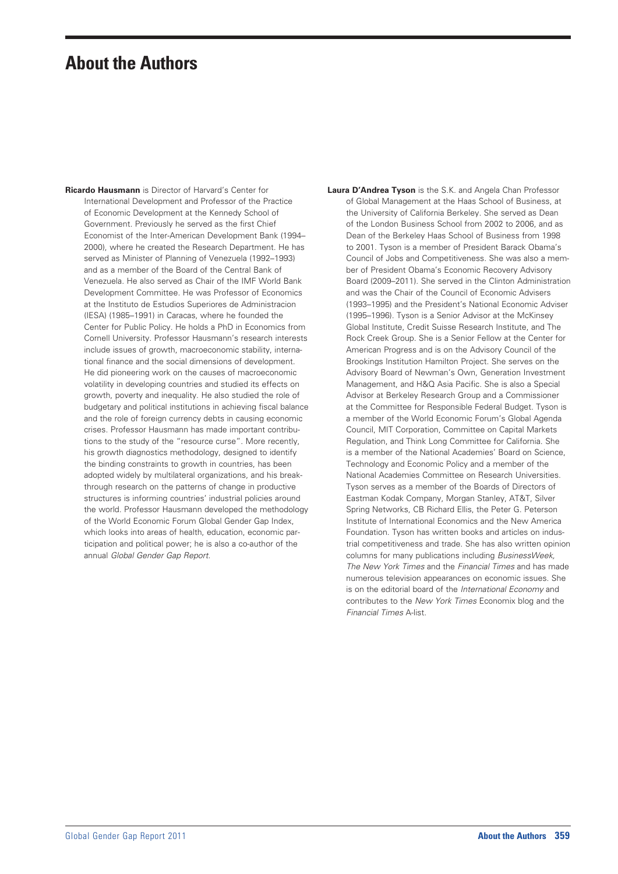## **About the Authors**

**Ricardo Hausmann** is Director of Harvard's Center for International Development and Professor of the Practice of Economic Development at the Kennedy School of Government. Previously he served as the first Chief Economist of the Inter-American Development Bank (1994– 2000), where he created the Research Department. He has served as Minister of Planning of Venezuela (1992–1993) and as a member of the Board of the Central Bank of Venezuela. He also served as Chair of the IMF World Bank Development Committee. He was Professor of Economics at the Instituto de Estudios Superiores de Administracion (IESA) (1985–1991) in Caracas, where he founded the Center for Public Policy. He holds a PhD in Economics from Cornell University. Professor Hausmann's research interests include issues of growth, macroeconomic stability, international finance and the social dimensions of development. He did pioneering work on the causes of macroeconomic volatility in developing countries and studied its effects on growth, poverty and inequality. He also studied the role of budgetary and political institutions in achieving fiscal balance and the role of foreign currency debts in causing economic crises. Professor Hausmann has made important contributions to the study of the "resource curse". More recently, his growth diagnostics methodology, designed to identify the binding constraints to growth in countries, has been adopted widely by multilateral organizations, and his breakthrough research on the patterns of change in productive structures is informing countries' industrial policies around the world. Professor Hausmann developed the methodology of the World Economic Forum Global Gender Gap Index, which looks into areas of health, education, economic participation and political power; he is also a co-author of the annual *Global Gender Gap Report.*

**Laura D'Andrea Tyson** is the S.K. and Angela Chan Professor of Global Management at the Haas School of Business, at the University of California Berkeley. She served as Dean of the London Business School from 2002 to 2006, and as Dean of the Berkeley Haas School of Business from 1998 to 2001. Tyson is a member of President Barack Obama's Council of Jobs and Competitiveness. She was also a member of President Obama's Economic Recovery Advisory Board (2009–2011). She served in the Clinton Administration and was the Chair of the Council of Economic Advisers (1993–1995) and the President's National Economic Adviser (1995–1996). Tyson is a Senior Advisor at the McKinsey Global Institute, Credit Suisse Research Institute, and The Rock Creek Group. She is a Senior Fellow at the Center for American Progress and is on the Advisory Council of the Brookings Institution Hamilton Project. She serves on the Advisory Board of Newman's Own, Generation Investment Management, and H&Q Asia Pacific. She is also a Special Advisor at Berkeley Research Group and a Commissioner at the Committee for Responsible Federal Budget. Tyson is a member of the World Economic Forum's Global Agenda Council, MIT Corporation, Committee on Capital Markets Regulation, and Think Long Committee for California. She is a member of the National Academies' Board on Science, Technology and Economic Policy and a member of the National Academies Committee on Research Universities. Tyson serves as a member of the Boards of Directors of Eastman Kodak Company, Morgan Stanley, AT&T, Silver Spring Networks, CB Richard Ellis, the Peter G. Peterson Institute of International Economics and the New America Foundation. Tyson has written books and articles on industrial competitiveness and trade. She has also written opinion columns for many publications including *BusinessWeek, The New York Times* and the *Financial Times* and has made numerous television appearances on economic issues. She is on the editorial board of the *International Economy* and contributes to the *New York Times* Economix blog and the *Financial Times* A-list.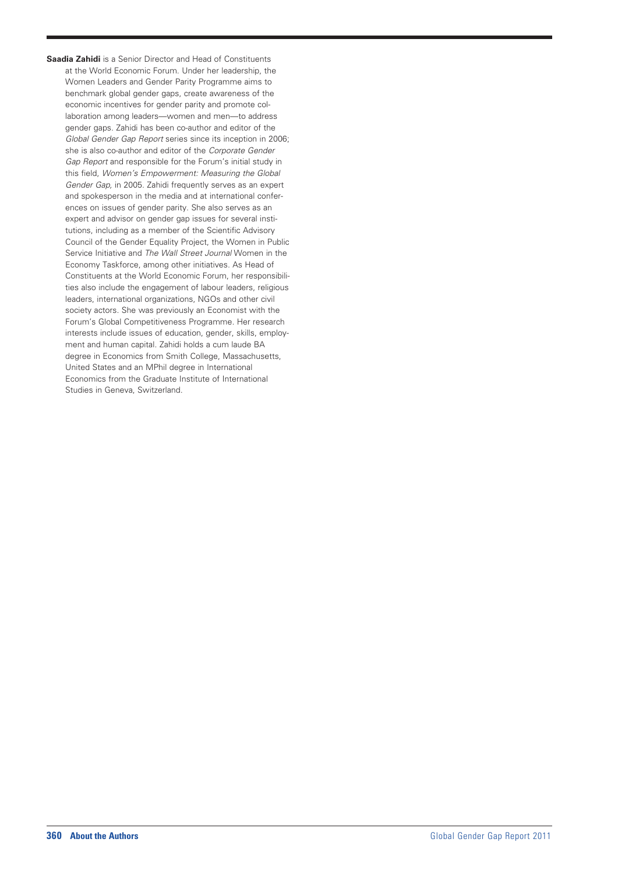**Saadia Zahidi** is a Senior Director and Head of Constituents at the World Economic Forum. Under her leadership, the Women Leaders and Gender Parity Programme aims to benchmark global gender gaps, create awareness of the economic incentives for gender parity and promote collaboration among leaders—women and men—to address gender gaps. Zahidi has been co-author and editor of the *Global Gender Gap Report* series since its inception in 2006; she is also co-author and editor of the *Corporate Gender Gap Report* and responsible for the Forum's initial study in this field, *Women's Empowerment: Measuring the Global Gender Gap,* in 2005. Zahidi frequently serves as an expert and spokesperson in the media and at international conferences on issues of gender parity. She also serves as an expert and advisor on gender gap issues for several institutions, including as a member of the Scientific Advisory Council of the Gender Equality Project, the Women in Public Service Initiative and *The Wall Street Journal* Women in the Economy Taskforce, among other initiatives. As Head of Constituents at the World Economic Forum, her responsibilities also include the engagement of labour leaders, religious leaders, international organizations, NGOs and other civil society actors. She was previously an Economist with the Forum's Global Competitiveness Programme. Her research interests include issues of education, gender, skills, employment and human capital. Zahidi holds a cum laude BA degree in Economics from Smith College, Massachusetts, United States and an MPhil degree in International Economics from the Graduate Institute of International Studies in Geneva, Switzerland.